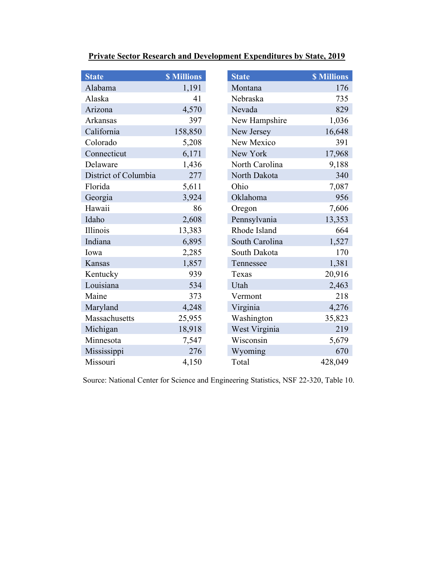| <b>State</b>         | <b>\$ Millions</b> | <b>State</b>   | <b>\$ Millions</b> |
|----------------------|--------------------|----------------|--------------------|
| Alabama              | 1,191              | Montana        | 176                |
| Alaska               | 41                 | Nebraska       | 735                |
| Arizona              | 4,570              | Nevada         | 829                |
| Arkansas             | 397                | New Hampshire  | 1,036              |
| California           | 158,850            | New Jersey     | 16,648             |
| Colorado             | 5,208              | New Mexico     | 391                |
| Connecticut          | 6,171              | New York       | 17,968             |
| Delaware             | 1,436              | North Carolina | 9,188              |
| District of Columbia | 277                | North Dakota   | 340                |
| Florida              | 5,611              | Ohio           | 7,087              |
| Georgia              | 3,924              | Oklahoma       | 956                |
| Hawaii               | 86                 | Oregon         | 7,606              |
| Idaho                | 2,608              | Pennsylvania   | 13,353             |
| Illinois             | 13,383             | Rhode Island   | 664                |
| Indiana              | 6,895              | South Carolina | 1,527              |
| Iowa                 | 2,285              | South Dakota   | 170                |
| Kansas               | 1,857              | Tennessee      | 1,381              |
| Kentucky             | 939                | Texas          | 20,916             |
| Louisiana            | 534                | Utah           | 2,463              |
| Maine                | 373                | Vermont        | 218                |
| Maryland             | 4,248              | Virginia       | 4,276              |
| Massachusetts        | 25,955             | Washington     | 35,823             |
| Michigan             | 18,918             | West Virginia  | 219                |
| Minnesota            | 7,547              | Wisconsin      | 5,679              |
| Mississippi          | 276                | Wyoming        | 670                |
| Missouri             | 4,150              | Total          | 428,049            |

## **Private Sector Research and Development Expenditures by State, 2019**

Source: National Center for Science and Engineering Statistics, NSF 22-320, Table 10.